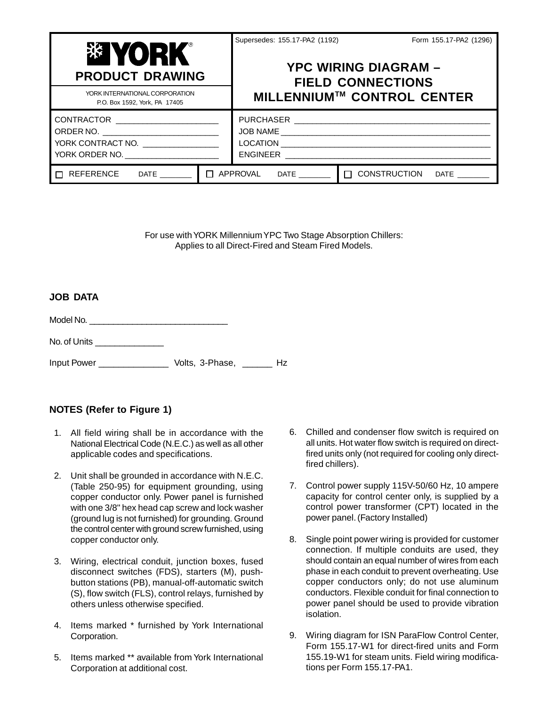| <b>PRODUCT DRAWING</b>                                                          |  | Supersedes: 155.17-PA2 (1192)<br>Form 155.17-PA2 (1296)<br><b>YPC WIRING DIAGRAM -</b><br><b>FIELD CONNECTIONS</b> |                            |
|---------------------------------------------------------------------------------|--|--------------------------------------------------------------------------------------------------------------------|----------------------------|
| YORK INTERNATIONAL CORPORATION<br>P.O. Box 1592, York, PA 17405                 |  |                                                                                                                    | MILLENNIUM™ CONTROL CENTER |
| ORDER NO. _______________________________<br>YORK CONTRACT NO. ________________ |  |                                                                                                                    |                            |
| $\Box$ REFERENCE DATE _______                                                   |  | $\Box$ APPROVAL DATE _______<br>$\Box$ CONSTRUCTION<br>$\mathsf{DATE} \ \_\_\_\_\_\$                               |                            |

For use with YORK Millennium YPC Two Stage Absorption Chillers: Applies to all Direct-Fired and Steam Fired Models.

#### **JOB DATA**

Model No. \_\_\_\_\_\_\_\_\_\_\_\_\_\_\_\_\_\_\_\_\_\_\_\_\_\_\_\_\_

No. of Units \_\_\_\_\_\_\_\_\_\_\_\_\_\_

Input Power \_\_\_\_\_\_\_\_\_\_\_\_\_\_ Volts, 3-Phase, \_\_\_\_\_\_ Hz

## **NOTES (Refer to Figure 1)**

- 1. All field wiring shall be in accordance with the National Electrical Code (N.E.C.) as well as all other applicable codes and specifications.
- 2. Unit shall be grounded in accordance with N.E.C. (Table 250-95) for equipment grounding, using copper conductor only. Power panel is furnished with one 3/8" hex head cap screw and lock washer (ground lug is not furnished) for grounding. Ground the control center with ground screw furnished, using copper conductor only.
- 3. Wiring, electrical conduit, junction boxes, fused disconnect switches (FDS), starters (M), pushbutton stations (PB), manual-off-automatic switch (S), flow switch (FLS), control relays, furnished by others unless otherwise specified.
- 4. Items marked \* furnished by York International Corporation.
- 5. Items marked \*\* available from York International Corporation at additional cost.
- 6. Chilled and condenser flow switch is required on all units. Hot water flow switch is required on directfired units only (not required for cooling only directfired chillers).
- 7. Control power supply 115V-50/60 Hz, 10 ampere capacity for control center only, is supplied by a control power transformer (CPT) located in the power panel. (Factory Installed)
- 8. Single point power wiring is provided for customer connection. If multiple conduits are used, they should contain an equal number of wires from each phase in each conduit to prevent overheating. Use copper conductors only; do not use aluminum conductors. Flexible conduit for final connection to power panel should be used to provide vibration isolation.
- 9. Wiring diagram for ISN ParaFlow Control Center, Form 155.17-W1 for direct-fired units and Form 155.19-W1 for steam units. Field wiring modifications per Form 155.17-PA1.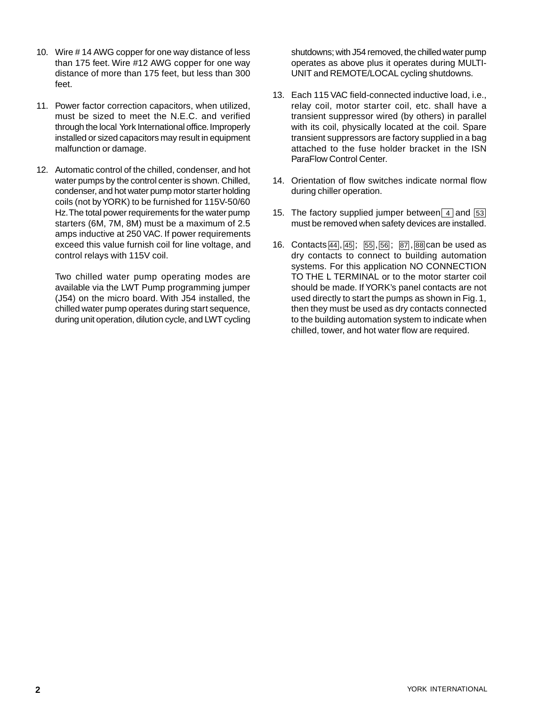- 10. Wire # 14 AWG copper for one way distance of less than 175 feet. Wire #12 AWG copper for one way distance of more than 175 feet, but less than 300 feet.
- 11. Power factor correction capacitors, when utilized, must be sized to meet the N.E.C. and verified through the local York International office. Improperly installed or sized capacitors may result in equipment malfunction or damage.
- 12. Automatic control of the chilled, condenser, and hot water pumps by the control center is shown. Chilled, condenser, and hot water pump motor starter holding coils (not by YORK) to be furnished for 115V-50/60 Hz. The total power requirements for the water pump starters (6M, 7M, 8M) must be a maximum of 2.5 amps inductive at 250 VAC. If power requirements exceed this value furnish coil for line voltage, and control relays with 115V coil.

Two chilled water pump operating modes are available via the LWT Pump programming jumper (J54) on the micro board. With J54 installed, the chilled water pump operates during start sequence, during unit operation, dilution cycle, and LWT cycling shutdowns; with J54 removed, the chilled water pump operates as above plus it operates during MULTI-UNIT and REMOTE/LOCAL cycling shutdowns.

- 13. Each 115 VAC field-connected inductive load, i.e., relay coil, motor starter coil, etc. shall have a transient suppressor wired (by others) in parallel with its coil, physically located at the coil. Spare transient suppressors are factory supplied in a bag attached to the fuse holder bracket in the ISN ParaFlow Control Center.
- 14. Orientation of flow switches indicate normal flow during chiller operation.
- 15. The factory supplied jumper between  $\boxed{4}$  and  $\boxed{53}$ must be removed when safety devices are installed.
- 16. Contacts 44, 45; 55, 56; 87, 88 can be used as dry contacts to connect to building automation systems. For this application NO CONNECTION TO THE L TERMINAL or to the motor starter coil should be made. If YORK's panel contacts are not used directly to start the pumps as shown in Fig. 1, then they must be used as dry contacts connected to the building automation system to indicate when chilled, tower, and hot water flow are required.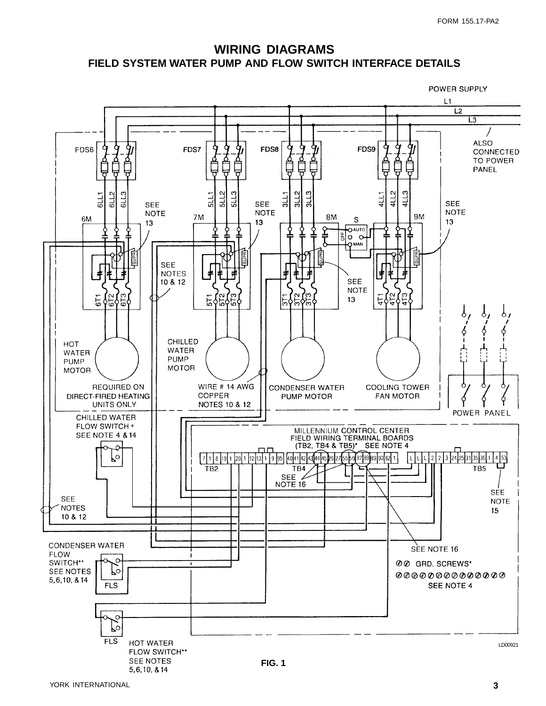## **WIRING DIAGRAMS FIELD SYSTEM WATER PUMP AND FLOW SWITCH INTERFACE DETAILS**

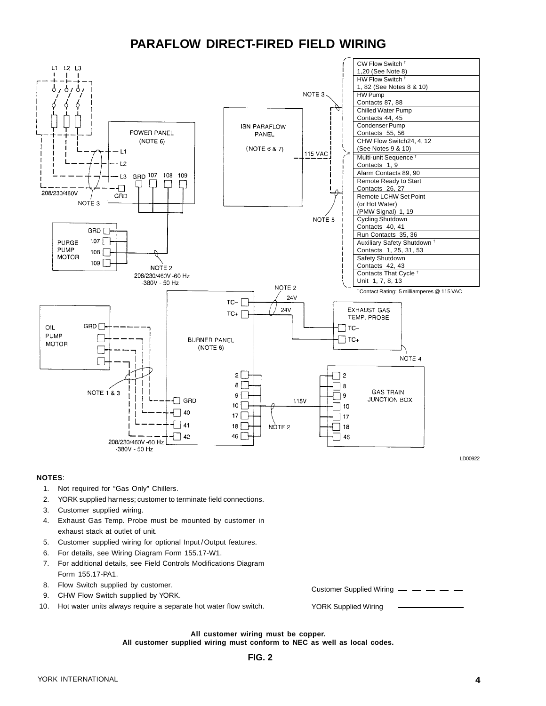# **PARAFLOW DIRECT-FIRED FIELD WIRING**



#### **NOTES**:

- 1. Not required for "Gas Only" Chillers.
- 2. YORK supplied harness; customer to terminate field connections.
- 3. Customer supplied wiring.
- 4. Exhaust Gas Temp. Probe must be mounted by customer in exhaust stack at outlet of unit.
- 5. Customer supplied wiring for optional Input / Output features.
- 6. For details, see Wiring Diagram Form 155.17-W1.
- 7. For additional details, see Field Controls Modifications Diagram Form 155.17-PA1.
- 8. Flow Switch supplied by customer.
- 9. CHW Flow Switch supplied by YORK.
- 10. Hot water units always require a separate hot water flow switch.

```
Customer Supplied Wiring - - - -
```
YORK Supplied Wiring

**All customer wiring must be copper. All customer supplied wiring must conform to NEC as well as local codes.**

#### **FIG. 2**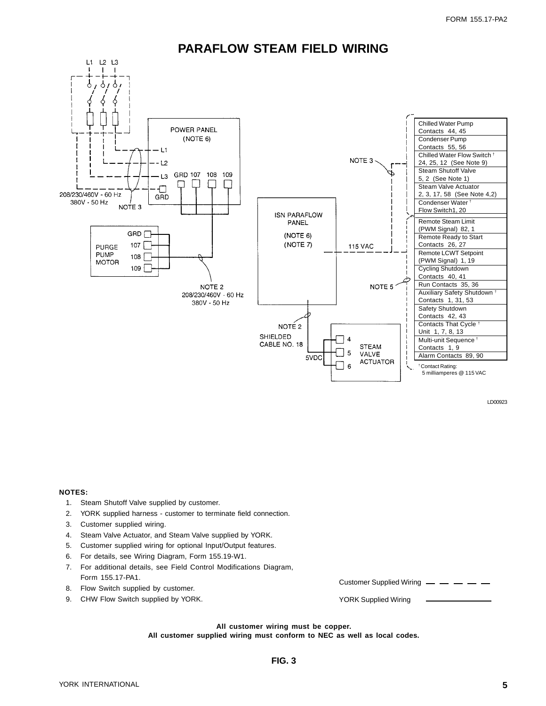

### **PARAFLOW STEAM FIELD WIRING**

**NOTES:**

- 1. Steam Shutoff Valve supplied by customer.
- 2. YORK supplied harness customer to terminate field connection.
- 3. Customer supplied wiring.
- 4. Steam Valve Actuator, and Steam Valve supplied by YORK.
- 5. Customer supplied wiring for optional Input/Output features.
- 6. For details, see Wiring Diagram, Form 155.19-W1.
- 7. For additional details, see Field Control Modifications Diagram, Form 155.17-PA1.
- 8. Flow Switch supplied by customer.
- 9. CHW Flow Switch supplied by YORK.

Customer Supplied Wiring

YORK Supplied Wiring

**All customer wiring must be copper.**

**All customer supplied wiring must conform to NEC as well as local codes.**

LD00923